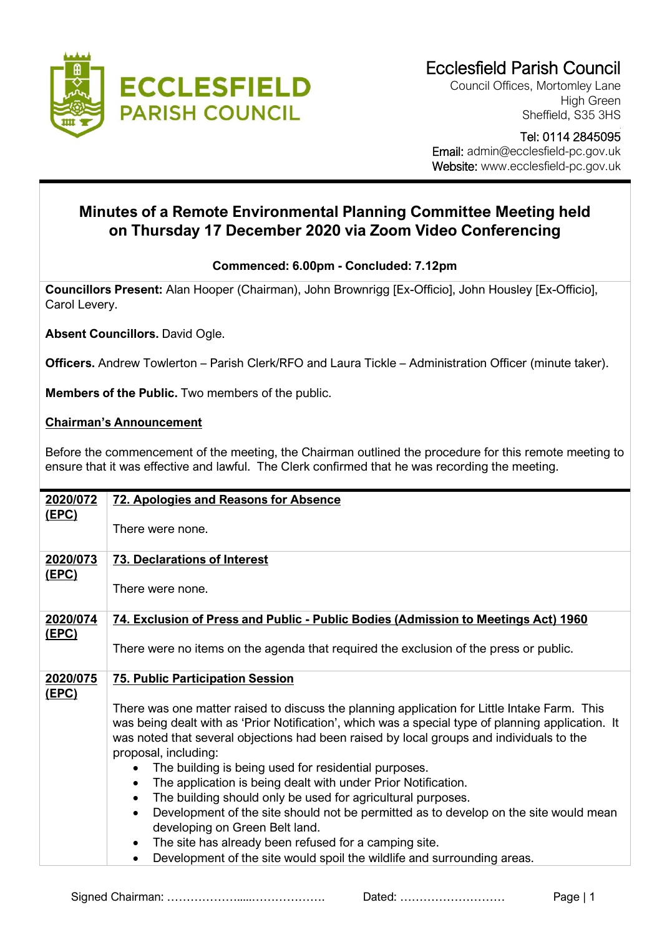

Council Offices, Mortomley Lane High Green Sheffield, S35 3HS

## Tel: 0114 2845095 Email: admin@ecclesfield-pc.gov.uk Website: www.ecclesfield-pc.gov.uk

## **Minutes of a Remote Environmental Planning Committee Meeting held on Thursday 17 December 2020 via Zoom Video Conferencing**

## **Commenced: 6.00pm - Concluded: 7.12pm**

**Councillors Present:** Alan Hooper (Chairman), John Brownrigg [Ex-Officio], John Housley [Ex-Officio], Carol Levery.

**Absent Councillors.** David Ogle.

**Officers.** Andrew Towlerton – Parish Clerk/RFO and Laura Tickle – Administration Officer (minute taker).

**Members of the Public.** Two members of the public.

## **Chairman's Announcement**

Before the commencement of the meeting, the Chairman outlined the procedure for this remote meeting to ensure that it was effective and lawful. The Clerk confirmed that he was recording the meeting.

| 2020/072     | 72. Apologies and Reasons for Absence                                                                                                                                                                                                                                                                                                                                                                                                                                                                                       |
|--------------|-----------------------------------------------------------------------------------------------------------------------------------------------------------------------------------------------------------------------------------------------------------------------------------------------------------------------------------------------------------------------------------------------------------------------------------------------------------------------------------------------------------------------------|
| <u>(EPC)</u> | There were none.                                                                                                                                                                                                                                                                                                                                                                                                                                                                                                            |
| 2020/073     | <b>73. Declarations of Interest</b>                                                                                                                                                                                                                                                                                                                                                                                                                                                                                         |
| <u>(EPC)</u> | There were none.                                                                                                                                                                                                                                                                                                                                                                                                                                                                                                            |
| 2020/074     | 74. Exclusion of Press and Public - Public Bodies (Admission to Meetings Act) 1960                                                                                                                                                                                                                                                                                                                                                                                                                                          |
| <u>(EPC)</u> | There were no items on the agenda that required the exclusion of the press or public.                                                                                                                                                                                                                                                                                                                                                                                                                                       |
| 2020/075     | <b>75. Public Participation Session</b>                                                                                                                                                                                                                                                                                                                                                                                                                                                                                     |
| <u>(EPC)</u> | There was one matter raised to discuss the planning application for Little Intake Farm. This<br>was being dealt with as 'Prior Notification', which was a special type of planning application. It<br>was noted that several objections had been raised by local groups and individuals to the<br>proposal, including:<br>The building is being used for residential purposes.<br>The application is being dealt with under Prior Notification.<br>$\bullet$<br>The building should only be used for agricultural purposes. |
|              | Development of the site should not be permitted as to develop on the site would mean<br>$\bullet$<br>developing on Green Belt land.<br>The site has already been refused for a camping site.<br>$\bullet$                                                                                                                                                                                                                                                                                                                   |
|              | Development of the site would spoil the wildlife and surrounding areas.                                                                                                                                                                                                                                                                                                                                                                                                                                                     |

Signed Chairman: ……………….....………………. Dated: ……………………… Page | 1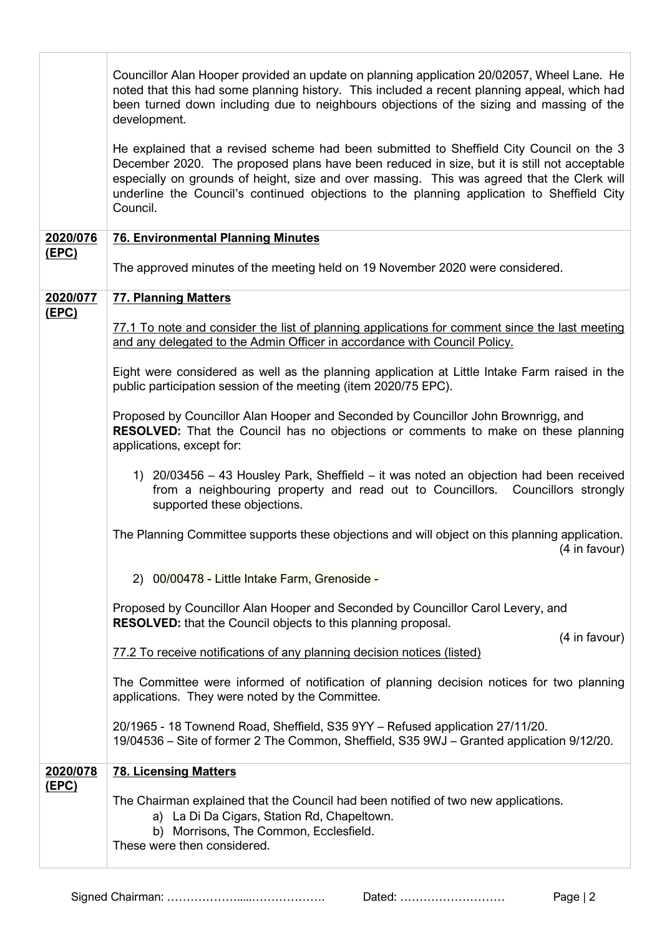|              | Councillor Alan Hooper provided an update on planning application 20/02057, Wheel Lane. He<br>noted that this had some planning history. This included a recent planning appeal, which had<br>been turned down including due to neighbours objections of the sizing and massing of the<br>development.                                                                                           |
|--------------|--------------------------------------------------------------------------------------------------------------------------------------------------------------------------------------------------------------------------------------------------------------------------------------------------------------------------------------------------------------------------------------------------|
|              | He explained that a revised scheme had been submitted to Sheffield City Council on the 3<br>December 2020. The proposed plans have been reduced in size, but it is still not acceptable<br>especially on grounds of height, size and over massing. This was agreed that the Clerk will<br>underline the Council's continued objections to the planning application to Sheffield City<br>Council. |
| 2020/076     | <b>76. Environmental Planning Minutes</b>                                                                                                                                                                                                                                                                                                                                                        |
| <u>(EPC)</u> | The approved minutes of the meeting held on 19 November 2020 were considered.                                                                                                                                                                                                                                                                                                                    |
| 2020/077     | <b>77. Planning Matters</b>                                                                                                                                                                                                                                                                                                                                                                      |
| <u>(EPC)</u> | 77.1 To note and consider the list of planning applications for comment since the last meeting<br>and any delegated to the Admin Officer in accordance with Council Policy.                                                                                                                                                                                                                      |
|              | Eight were considered as well as the planning application at Little Intake Farm raised in the<br>public participation session of the meeting (item 2020/75 EPC).                                                                                                                                                                                                                                 |
|              | Proposed by Councillor Alan Hooper and Seconded by Councillor John Brownrigg, and<br><b>RESOLVED:</b> That the Council has no objections or comments to make on these planning<br>applications, except for:                                                                                                                                                                                      |
|              | 1) 20/03456 – 43 Housley Park, Sheffield – it was noted an objection had been received<br>from a neighbouring property and read out to Councillors. Councillors strongly<br>supported these objections.                                                                                                                                                                                          |
|              | The Planning Committee supports these objections and will object on this planning application.<br>(4 in favour)                                                                                                                                                                                                                                                                                  |
|              | 2) 00/00478 - Little Intake Farm, Grenoside -                                                                                                                                                                                                                                                                                                                                                    |
|              | Proposed by Councillor Alan Hooper and Seconded by Councillor Carol Levery, and<br><b>RESOLVED:</b> that the Council objects to this planning proposal.                                                                                                                                                                                                                                          |
|              | (4 in favour)<br>77.2 To receive notifications of any planning decision notices (listed)                                                                                                                                                                                                                                                                                                         |
|              | The Committee were informed of notification of planning decision notices for two planning<br>applications. They were noted by the Committee.                                                                                                                                                                                                                                                     |
|              | 20/1965 - 18 Townend Road, Sheffield, S35 9YY - Refused application 27/11/20.<br>19/04536 – Site of former 2 The Common, Sheffield, S35 9WJ – Granted application 9/12/20.                                                                                                                                                                                                                       |
| 2020/078     | <b>78. Licensing Matters</b>                                                                                                                                                                                                                                                                                                                                                                     |
| <u>(EPC)</u> | The Chairman explained that the Council had been notified of two new applications.<br>a) La Di Da Cigars, Station Rd, Chapeltown.<br>b) Morrisons, The Common, Ecclesfield.<br>These were then considered.                                                                                                                                                                                       |

Signed Chairman: ……………….....………………. Dated: ……………………… Page | 2